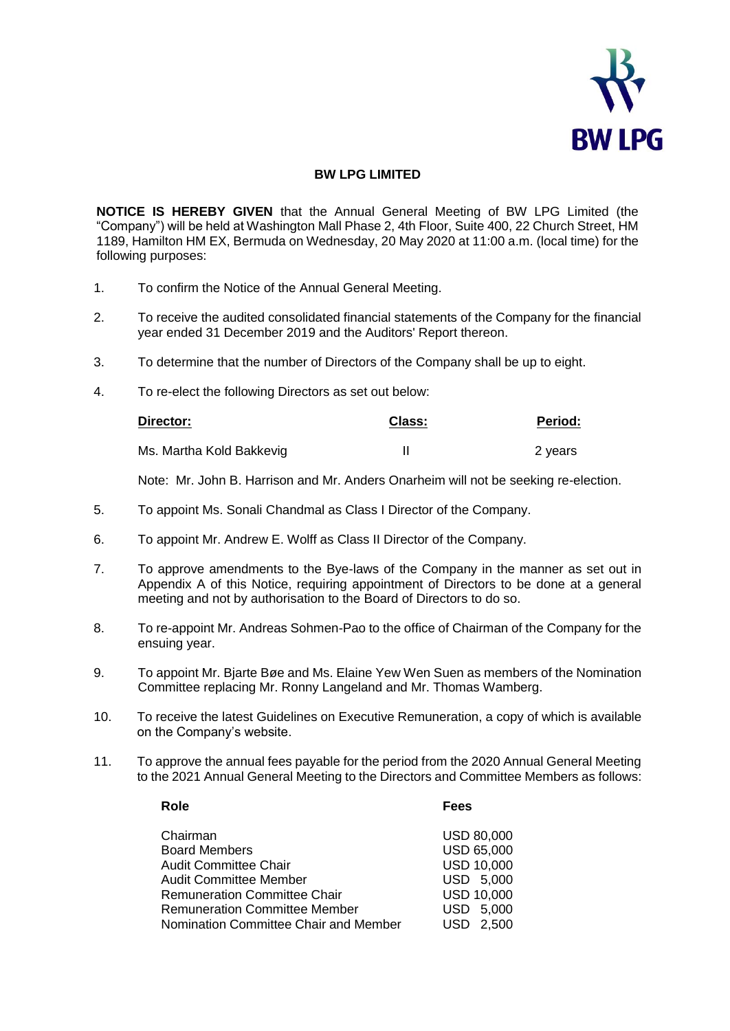

## **BW LPG LIMITED**

**NOTICE IS HEREBY GIVEN** that the Annual General Meeting of BW LPG Limited (the "Company") will be held at Washington Mall Phase 2, 4th Floor, Suite 400, 22 Church Street, HM 1189, Hamilton HM EX, Bermuda on Wednesday, 20 May 2020 at 11:00 a.m. (local time) for the following purposes:

- 1. To confirm the Notice of the Annual General Meeting.
- 2. To receive the audited consolidated financial statements of the Company for the financial year ended 31 December 2019 and the Auditors' Report thereon.
- 3. To determine that the number of Directors of the Company shall be up to eight.
- 4. To re-elect the following Directors as set out below:

| Director:                | Class: | Period: |
|--------------------------|--------|---------|
| Ms. Martha Kold Bakkevig |        | 2 years |

Note: Mr. John B. Harrison and Mr. Anders Onarheim will not be seeking re-election.

- 5. To appoint Ms. Sonali Chandmal as Class I Director of the Company.
- 6. To appoint Mr. Andrew E. Wolff as Class II Director of the Company.
- 7. To approve amendments to the Bye-laws of the Company in the manner as set out in Appendix A of this Notice, requiring appointment of Directors to be done at a general meeting and not by authorisation to the Board of Directors to do so.
- 8. To re-appoint Mr. Andreas Sohmen-Pao to the office of Chairman of the Company for the ensuing year.
- 9. To appoint Mr. Bjarte Bøe and Ms. Elaine Yew Wen Suen as members of the Nomination Committee replacing Mr. Ronny Langeland and Mr. Thomas Wamberg.
- 10. To receive the latest Guidelines on Executive Remuneration, a copy of which is available on the Company's website.
- 11. To approve the annual fees payable for the period from the 2020 Annual General Meeting to the 2021 Annual General Meeting to the Directors and Committee Members as follows:

| Chairman                              | <b>USD 80,000</b> |
|---------------------------------------|-------------------|
| <b>Board Members</b>                  | <b>USD 65,000</b> |
| <b>Audit Committee Chair</b>          | <b>USD 10,000</b> |
| <b>Audit Committee Member</b>         | USD 5,000         |
| <b>Remuneration Committee Chair</b>   | <b>USD 10,000</b> |
| <b>Remuneration Committee Member</b>  | USD 5,000         |
| Nomination Committee Chair and Member | USD 2.500         |
|                                       |                   |

**Role Fees**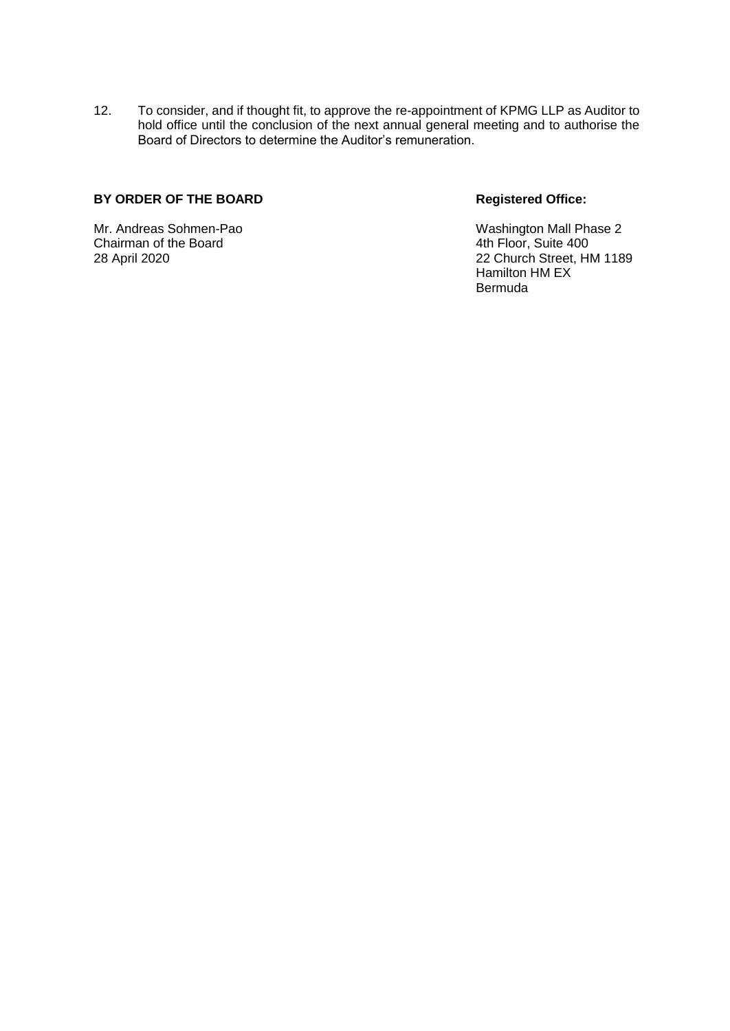12. To consider, and if thought fit, to approve the re-appointment of KPMG LLP as Auditor to hold office until the conclusion of the next annual general meeting and to authorise the Board of Directors to determine the Auditor's remuneration.

# BY ORDER OF THE BOARD Registered Office:

Mr. Andreas Sohmen-Pao **Mr. Andreas Sohmen-Pao** Washington Mall Phase 2<br>
Chairman of the Board Washington Chairman of the Board Chairman of the Board

28 April 2020 22 Church Street, HM 1189 Hamilton HM EX Bermuda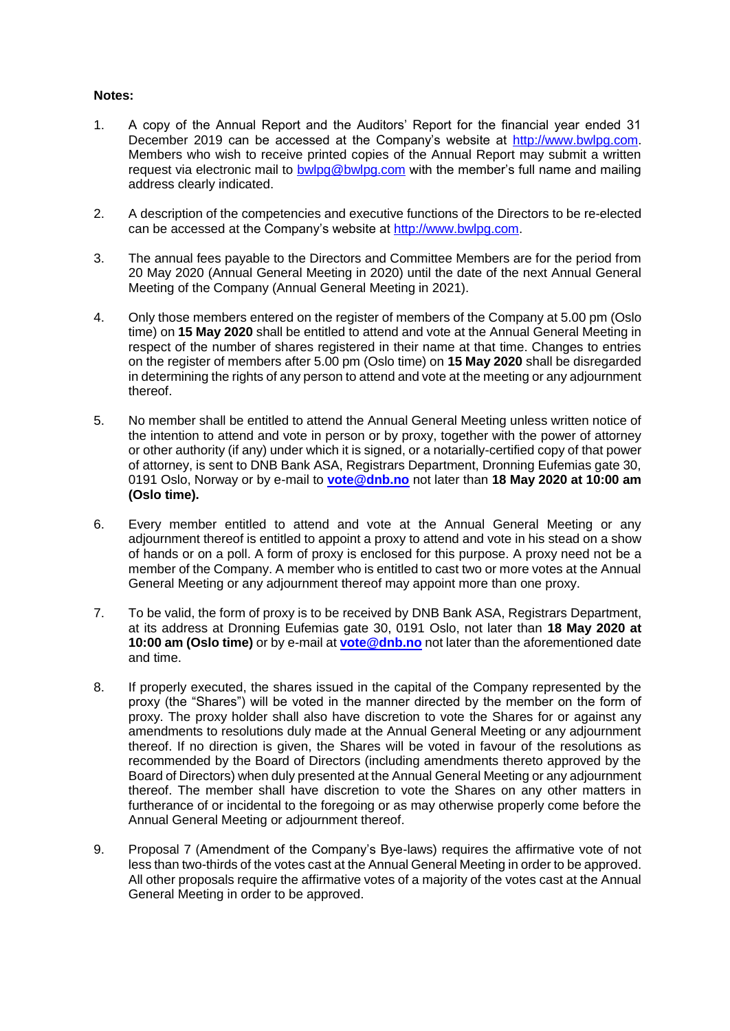### **Notes:**

- 1. A copy of the Annual Report and the Auditors' Report for the financial year ended 31 December 2019 can be accessed at the Company's website at [http://www.bwlpg.com.](http://www.bwlpg.com/) Members who wish to receive printed copies of the Annual Report may submit a written request via electronic mail to [bwlpg@bwlpg.com](mailto:bwlpg@bwlpg.com) with the member's full name and mailing address clearly indicated.
- 2. A description of the competencies and executive functions of the Directors to be re-elected can be accessed at the Company's website at [http://www.bwlpg.com.](http://www.bwlpg.com/)
- 3. The annual fees payable to the Directors and Committee Members are for the period from 20 May 2020 (Annual General Meeting in 2020) until the date of the next Annual General Meeting of the Company (Annual General Meeting in 2021).
- 4. Only those members entered on the register of members of the Company at 5.00 pm (Oslo time) on **15 May 2020** shall be entitled to attend and vote at the Annual General Meeting in respect of the number of shares registered in their name at that time. Changes to entries on the register of members after 5.00 pm (Oslo time) on **15 May 2020** shall be disregarded in determining the rights of any person to attend and vote at the meeting or any adjournment thereof.
- 5. No member shall be entitled to attend the Annual General Meeting unless written notice of the intention to attend and vote in person or by proxy, together with the power of attorney or other authority (if any) under which it is signed, or a notarially-certified copy of that power of attorney, is sent to DNB Bank ASA, Registrars Department, Dronning Eufemias gate 30, 0191 Oslo, Norway or by e-mail to **[vote@dnb.no](mailto:vote@dnb.no)** not later than **18 May 2020 at 10:00 am (Oslo time).**
- 6. Every member entitled to attend and vote at the Annual General Meeting or any adjournment thereof is entitled to appoint a proxy to attend and vote in his stead on a show of hands or on a poll. A form of proxy is enclosed for this purpose. A proxy need not be a member of the Company. A member who is entitled to cast two or more votes at the Annual General Meeting or any adjournment thereof may appoint more than one proxy.
- 7. To be valid, the form of proxy is to be received by DNB Bank ASA, Registrars Department, at its address at Dronning Eufemias gate 30, 0191 Oslo, not later than **18 May 2020 at 10:00 am (Oslo time)** or by e-mail at **[vote@dnb.no](mailto:vote@dnb.no)** not later than the aforementioned date and time.
- 8. If properly executed, the shares issued in the capital of the Company represented by the proxy (the "Shares") will be voted in the manner directed by the member on the form of proxy. The proxy holder shall also have discretion to vote the Shares for or against any amendments to resolutions duly made at the Annual General Meeting or any adjournment thereof. If no direction is given, the Shares will be voted in favour of the resolutions as recommended by the Board of Directors (including amendments thereto approved by the Board of Directors) when duly presented at the Annual General Meeting or any adjournment thereof. The member shall have discretion to vote the Shares on any other matters in furtherance of or incidental to the foregoing or as may otherwise properly come before the Annual General Meeting or adjournment thereof.
- 9. Proposal 7 (Amendment of the Company's Bye-laws) requires the affirmative vote of not less than two-thirds of the votes cast at the Annual General Meeting in order to be approved. All other proposals require the affirmative votes of a majority of the votes cast at the Annual General Meeting in order to be approved.